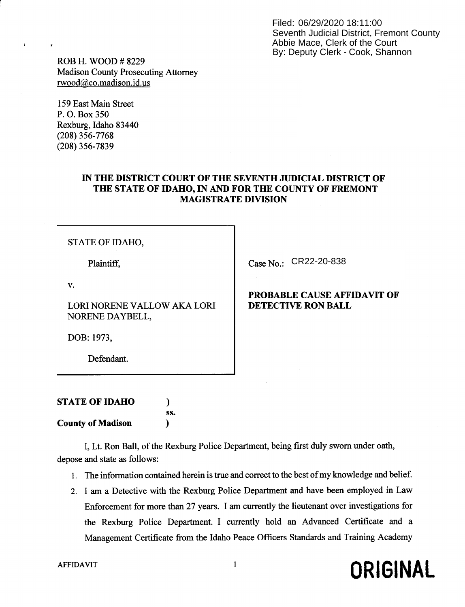By: Deputy Clerk - Cook, Shannon Filed: 06/29/2020 18:11:00 Seventh Judicial District, Fremont County Abbie Mace, Clerk of the Court

ROB H. WOOD # 8229 Madison County Prosecuting Attorney rwood@co.madison.id.us

159 East Main Street P. O. Box 350 Rexburg, Idaho 83440 (208) 356-7768 (208) 356-7839

 $\mathbf{r}$ 

 $\mathbf{z}$ 

# IN THE DISTRICT COURT OF THE SEVENTH JUDICIAL DISTRICT OF THE STATE OF IDAHO, IN AND FOR THE COUNTY OF FREMONT MAGISTRATE DIVISION

### STATE OF IDAHO,

Plaintiff,

v.

LORI NORENE VALLOW AKA LORI NORENE DAYBELL,

DOB: 1973,

Defendant.

Case No.: CR22-20-838

## PROBABLE CAUSE AFFIDAVIT OF DETECTIVE RON BALL

STATE OF IDAHO ). ss. County of Madison  $\mathcal{L}$ 

I, Lt. Ron Ball, of the Rexburg Police Department, being first duly sworn under oath, depose and state as follows:

- 1. The information contained herein is true and correct to the best of my knowledge and belief.
- 2. I am a Detective with the Rexburg Police Department and have been employed in Law Enforcement for more than 27 years. I am currently the lieutenant over investigations for the Rexburg Police Department. I currently hold an Advanced Certificate and a Management Certificate from the Idaho Peace Officers Standards and Training Academy

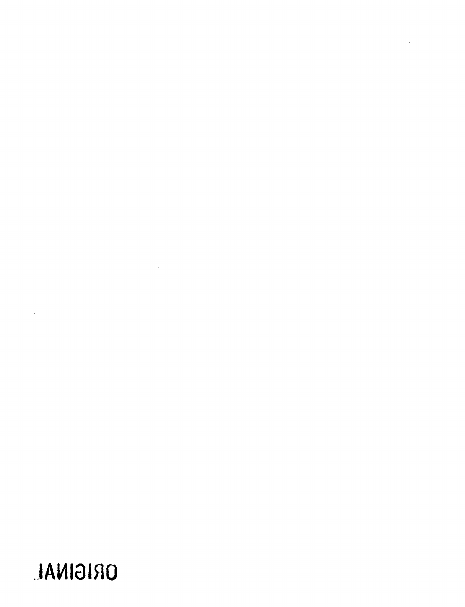# **JAWIƏIRO**

 $\label{eq:1} \mathcal{L}^{\mathcal{A}}(\mathcal{A})=\mathcal{L}^{\mathcal{A}}(\mathcal{A})\otimes\mathcal{L}^{\mathcal{A}}(\mathcal{A})\otimes\mathcal{L}^{\mathcal{A}}(\mathcal{A}).$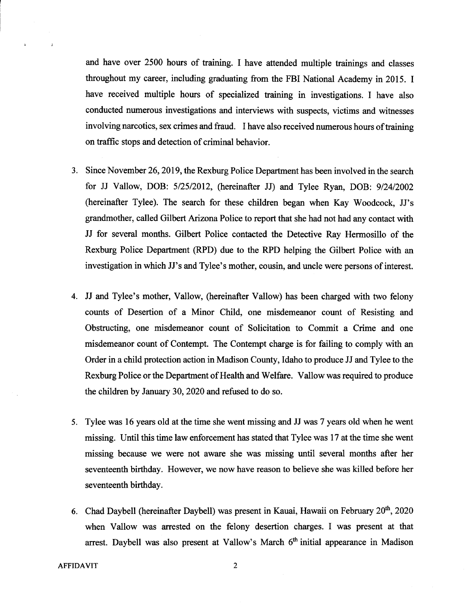and have over 2500 hours of training. I have attended multiple trainings and classes throughout my career, including graduating from the FBI National Academy in 2015. have received multiple hours of specialized training in investigations. I have also conducted numerous investigations and interviews with suspects, victims and witnesses involving narcotics, sex crimes and fraud. I have also received numerous hours of training on traffic stops and detection of criminal behavior.

- 3. Since November 26, 2019, the Rexburg Police Department has been involved in the search for JJ Vallow, DOB: 5/25/2012, (hereinafter JJ) and Tylee Ryan, DOB: 9/24/2002 (hereinafter Tylee). The search for these children began when Kay Woodcock, JJ's grandmother, called Gilbert Arizona Police to report that she had not had any contact with JJ for several months. Gilbert Police contacted the Detective Ray Hermosillo of the Rexburg Police Department (RPD) due to the RPD helping the Gilbert Police with an investigation in which JJ's and Tylee's mother, cousin, and uncle were persons of interest.
- 4. JJ and Tylee's mother, Vallow, (hereinafter Vallow) has been charged with two felony counts of Desertion of a Minor Child, one misdemeanor count of Resisting and Obstructing, one misdemeanor count of Solicitation to Commit a Crime and one misdemeanor count of Contempt. The Contempt charge is for failing to comply with an Order in a child protection action in Madison County, Idaho to produce JJ and Tylee to the Rexburg Police or the Department of Health and Welfare. Vallow was required to produce the children by January 30, 2020 and refused to do so.
- 5. Tylee was 16 years old at the time she went missing and JJ was 7 years old when he went missing. Until this time law enforcement has stated that Tylee was 17 at the time she went missing because we were not aware she was missing until several months after her seventeenth birthday. However, we now have reason to believe she was killed before her seventeenth birthday.
- 6. Chad Daybell (hereinafter Daybell) was present in Kauai, Hawaii on February 20<sup>th</sup>, 2020 when Vallow was arrested on the felony desertion charges. I was present at that arrest. Daybell was also present at Vallow's March  $6<sup>th</sup>$  initial appearance in Madison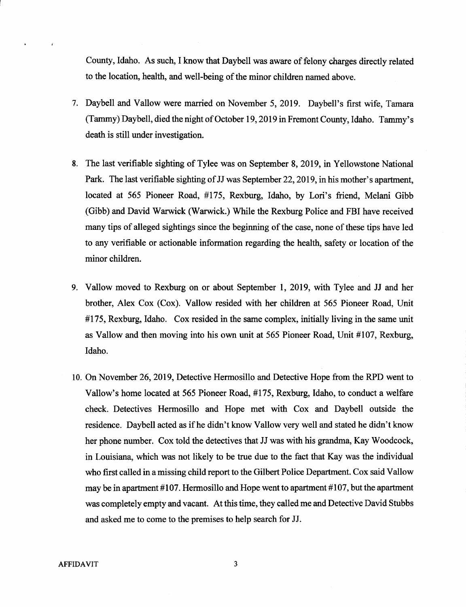County, Idaho. As such, I know that Daybell was aware of felony charges directly related to the location, health, and well-being of the minor children named above.

- 7. Daybell and Vallow were married on November 5, 2019. Daybell's first wife, Tamara (Tammy) Daybell, died the night of October 19, 2019 in Fremont County, Idaho. Tammy's death is still under investigation.
- 8. The last verifiable sighting of Tylee was on September 8, 2019, in Yellowstone National Park. The last verifiable sighting of JJ was September 22, 2019, in his mother's apartment, located at 565 Pioneer Road, #175, Rexburg, Idaho, by Lori's friend, Melani Gibb (Gibb) and David Warwick (Warwick) While the Rexburg Police and FBI have received many tips of alleged sightings since the beginning of the case, none of these tips have led to any verifiable or actionable information regarding the health, safety or location of the minor children.
- 9. Vallow moved to Rexburg on or about September 1, 2019, With Tylee and JJ and her brother, Alex Cox (Cox). Vallow resided with her children at 565 Pioneer Road, Unit #175, Rexburg, Idaho. Cox resided in the same complex, initially living in the same unit as Vallow and then moving into his own unit at 565 Pioneer Road, Unit #107, Rexburg, Idaho.
- 10. On November 26, 2019, Detective Hermosillo and Detective Hope from the RPD went to Vallow's home located at 565 Pioneer Road, #175, Rexburg, Idaho, to conduct a welfare check. Detectives Hermosillo and Hope met with Cox and Daybell outside the residence. Daybell acted as if he didn't know Vallow very well and stated he didn't know her phone number. Cox told the detectives that JJ was with his grandma, Kay Woodcock, in Louisiana, which was not likely to be true due to the fact that Kay was the individual who first called in a missing child report to the Gilbert Police Department. Cox said Vallow may be in apartment  $#107$ . Hermosillo and Hope went to apartment  $#107$ , but the apartment was completely empty and vacant. At this time, they called me and Detective David Stubbs and asked me to come to the premises to help search for JJ.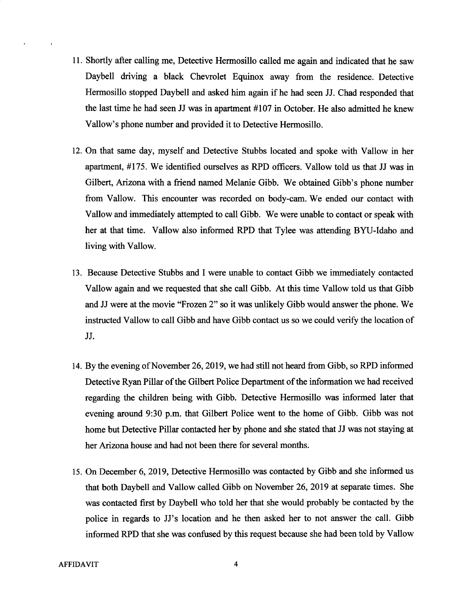- 11. Shortly after calling me, Detective Hermosillo called me again and indicated that he saw Daybell driving a black Chevrolet Equinox away from the residence. Detective Hermosillo stopped Daybell and asked him again if he had seen JJ. Chad responded that the last time he had seen JJ was in apartment #107 in October. He also admitted he knew Vallow's phone number and provided it to Detective Hermosillo.
- 12. On that same day, myself and Detective Stubbs located and spoke with Vallow in her apartment, #175. We identified ourselves as RPD officers. Vallow told us that JJ was in Gilbert, Arizona with a friend named Melanie Gibb. We obtained Gibb's phone number from Vallow. This encounter was recorded on body-cam. We ended our contact with Vallow and immediately attempted to call Gibb. We were unable to contact or speak with her at that time. Vallow also informed RPD that Tylee was attending BYU-Idaho and living with Vallow.
- 13. Because Detective Stubbs and I were unable to contact Gibb we immediately contacted Vallow again and we requested that she call Gibb. At this time Vallow told us that Gibb and JJ were at the movie "Frozen 2" so it was unlikely Gibb would answer the phone. We instructed Vallow to call Gibb and have Gibb contact us so we could verify the location of JJ.
- 14. By the evening of November 26, 2019, we had still not heard from Gibb, so RPD informed Detective Ryan Pillar of the Gilbert Police Department of the information we had received regarding the children being with Gibb. Detective Hermosillo was informed later that evening around 9:30 p.m. that Gilbert Police went to the home of Gibb. Gibb was not home but Detective Pillar contacted her by phone and she stated that JJ was not staying at her Arizona house and had not been there for several months.
- 15. On December 6, 2019, Detective Hermosillo was contacted by Gibb and she informed us that both Daybell and Vallow called Gibb on November 26, 2019 at separate times. She was contacted first by Daybell who told her that she would probably be contacted by the police in regards to JJ's location and he then asked her to not answer the call. Gibb informed RPD that she was confused by this request because she had been told by Vallow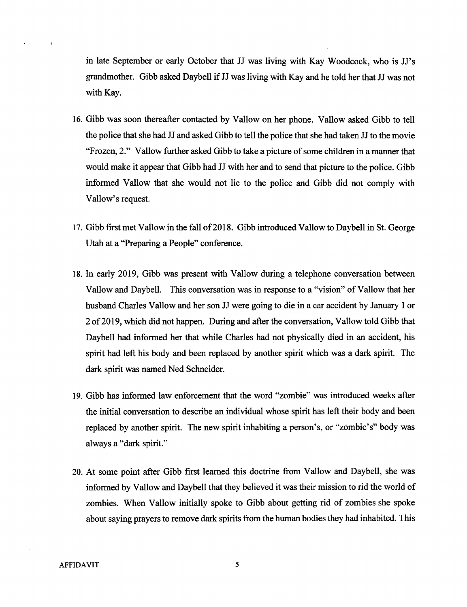in late September or early October that JJ was living with Kay Woodcock, who is JJ's grandmother. Gibb asked Daybell if JJ was living with Kay and he told her that JJ was not with Kay.

- 16. Gibb was soon thereafter contacted by Vallow on her phone. Vallow asked Gibb to tell the police that she had JJ and asked Gibb to tell the police that she had taken JJ to the movie "Frozen, 2." Vallow further asked Gibb to take a picture of some children in a manner that would make it appear that Gibb had JJ with her and to send that picture to the police. Gibb informed Vallow that she would not lie to the police and Gibb did not comply with Vallow's request.
- 17. Gibb first met Vallow in the fall of 2018. Gibb introduced Vallow to Daybell in St. George Utah at a "Preparing a People" conference.
- 18. In early 2019, Gibb was present with Vallow during a telephone conversation between Vallow and Daybell. This conversation was in response to a "vision" of Vallow that her husband Charles Vallow and her son JJ were going to die in a car accident by January 1 or of 2019, Which did not happen. During and after the conversation, Vallow told Gibb that Daybell had informed her that while Charles had not physically died in an accident, his spirit had left his body and been replaced by another spirit which was a dark spirit. The dark spirit was named Ned Schneider.
- 19. Gibb has informed law enforcement that the word "zombie" was introduced weeks after the initial conversation to describe an individual whose spirit has left their body and been replaced by another spirit. The new spirit inhabiting a person's, or "zombie's" body was always a "dark spirit."
- 20. At some point after Gibb first learned this doctrine from Vallow and Daybell, she was informed by Vallow and Daybell that they believed it was their mission to rid the world of zombies. When Vallow initially spoke to Gibb about getting rid of zombies she spoke about saying prayers to remove dark spirits from the human bodies they had inhabited. This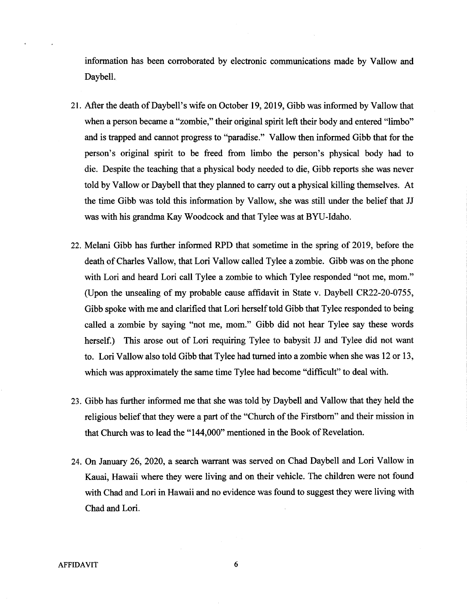information has been corroborated by electronic communications made by Vallow and Daybell.

- 21. After the death of Daybell's Wife on October 19, 2019, Gibb was informed by Vallow that when a person became a "zombie," their original spirit left their body and entered "limbo" and is trapped and cannot progress to "paradise." Vallow then informed Gibb that for the person's original spirit to be freed from limbo the person's physical body had to die. Despite the teaching that a physical body needed to die, Gibb reports she was never told by Vallow or Daybell that they planned to carry out a physical killing themselves. At the time Gibb was told this information by Vallow, she was still under the belief that JJ was with his grandma Kay Woodcock and that Tylee was at BYU-Idaho.
- 22. Melani Gibb has further informed RPD that sometime in the spring of 2019, before the death of Charles Vallow, that Lori Vallow called Tylee a zombie. Gibb was on the phone with Lori and heard Lori call Tylee a zombie to which Tylee responded "not me, mom." (Upon the unsealing of my probable cause affidavit in State V. Daybell CR22-20-0755, Gibb spoke with me and clarified that Lori herself told Gibb that Tylee responded to being called a zombie by saying "not me, mom." Gibb did not hear Tylee say these words herself.) This arose out of Lori requiring Tylee to babysit JJ and Tylee did not want to. Lori Vallow also told Gibb that Tylee had turned into a zombie when she was 12 or 13, which was approximately the same time Tylee had become "difficult" to deal with.
- 23. Gibb has further informed me that she was told by Daybell and Vallow that they held the religious belief that they were a part of the "Church of the Firstborn" and their mission in that Church was to lead the "144,000" mentioned in the Book of Revelation.
- 24. On January 26, 2020, a search warrant was served on Chad Daybell and Lori Vallow in Kauai, Hawaii where they were living and on their vehicle. The children were not found with Chad and Lori in Hawaii and no evidence was found to suggest they were living with Chad and Lori.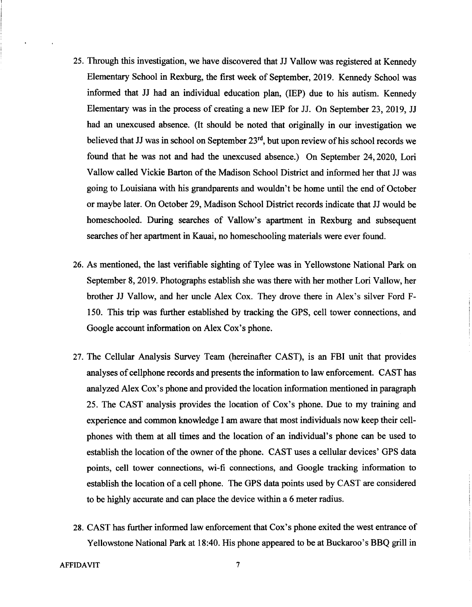- 25. Through this investigation, we have discovered that JJ Vallow was registered at Kennedy Elementary School in Rexburg, the first week of September, 2019. Kennedy School was informed that JJ had an individual education plan, (IEP) due to his autism. Kennedy Elementary was in the process of creating a new IEP for JJ. On September 23, 2019, JJ had an unexcused absence. (It should be noted that originally in our investigation we believed that JJ was in school on September 23<sup>rd</sup>, but upon review of his school records we found that he was not and had the unexcused absence.) On September 24,2020, Lori Vallow called Vickie Barton of the Madison School District and informed her that JJ was going to Louisiana with his grandparents and wouldn't be home until the end of October or maybe later. On October 29, Madison School District records indicate that JJ would be homeschooled. During searches of Vallow's apartment in Rexburg and subsequent searches of her apartment in Kauai, no homeschooling materials were ever found.
- 26. As mentioned, the last verifiable sighting of Tylee was in Yellowstone National Park on September 8, 2019. Photographs establish she was there with her mother Lori Vallow, her brother JJ Vallow, and her uncle Alex Cox. They drove there in Alex's silver Ford F-150. This trip was further established by tracking the GPS, cell tower connections, and Google account information on Alex Cox's phone.
- 27. The Cellular Analysis Survey Team (hereinafter CAST), is an FBI unit that provides analyses of cellphone records and presents the information to law enforcement. CAST has analyzed Alex Cox's phone and provided the location information mentioned in paragraph 25. The CAST analysis provides the location of Cox's phone. Due to my training and experience and common knowledge I am aware that most individuals now keep their cellphones with them at all times and the location of an individual's phone can be used to establish the location of the owner of the phone. CAST uses a cellular devices' GPS data points, cell tower connections, wi-fi connections, and Google tracking information to establish the location of a cell phone. The GPS data points used by CAST are considered to be highly accurate and can place the device within a 6 meter radius.
- 28. CAST has further informed law enforcement that Cox's phone exited the west entrance of Yellowstone National Park at 18:40. His phone appeared to be at Buckaroo's BBQ grill in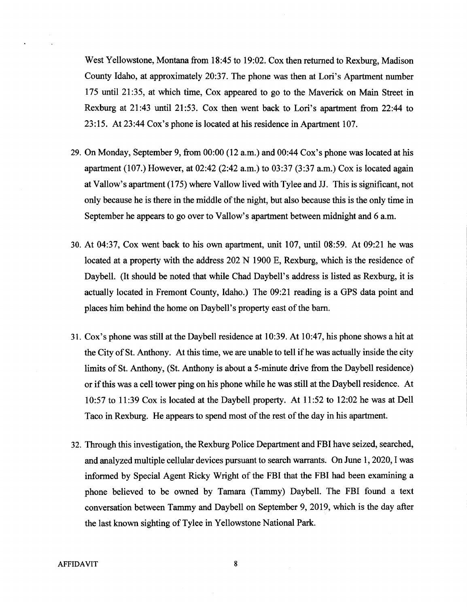West Yellowstone, Montana from 18:45 to 19:02. Cox then returned to Rexburg, Madison County Idaho, at approximately 20:37. The phone was then at Lori's Apartment number 175 until 21:35, at which time, Cox appeared to go to the Maverick on Main Street in Rexburg at 21:43 until 21:53. Cox then went back to Lori's apartment from 22:44 to 23:15. At 23:44 Cox's phone is located at his residence in Apartment 107.

- 29. On Monday, September 9, from 00:00 (12 am.) and 00:44 Cox's phone was located at his apartment (107.) However, at 02:42 (2:42 a.m.) to 03:37 (3:37 a.m.) Cox is located again at Vallow's apartment (1 75) where Vallow lived with Tylee and JJ. This is significant, not only because he is there in the middle of the night, but also because this is the only time in September he appears to go over to Vallow's apartment between midnight and 6 a.m.
- 30. At 04:37, Cox went back to his own apartment, unit 107, until 08:59. At 09:21 he was located at a property with the address  $202 \text{ N}$  1900 E, Rexburg, which is the residence of Daybell. (It should be noted that while Chad Daybell's address is listed as Rexburg, it is actually located in Fremont County, Idaho.) The 09:21 reading is GPS data point and places him behind the home on Daybell's property east of the barn.
- 31. Cox's phone was still at the Daybell residence at  $10:39$ . At  $10:47$ , his phone shows a hit at the City of St. Anthony. At this time, we are unable to tell if he was actually inside the city limits of St. Anthony, (St. Anthony is about a 5-minute drive from the Daybell residence) or if this was cell tower ping on his phone while he was still at the Daybell residence. At 10:57 to 11:39 Cox is located at the Daybell property. At 11:52 to 12:02 he was at Dell Taco in Rexburg. He appears to spend most of the rest of the day in his apartment.
- 32. Through this investigation, the Rexburg Police Department and FBI have seized, searched, and analyzed multiple cellular devices pursuant to search warrants. On June 1, 2020, I was informed by Special Agent Ricky Wright of the FBI that the FBI had been examining phone believed to be owned by Tamara (Tammy) Daybell. The FBI found a text conversation between Tammy and Daybell on September 9, 2019, which is the day after the last known sighting of Tylee in Yellowstone National Park.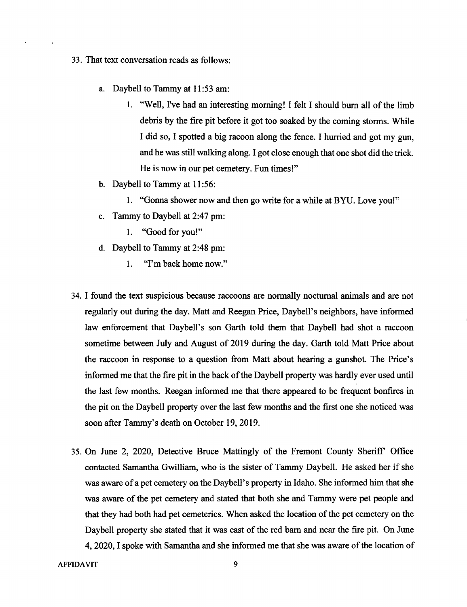- 33. That text conversation reads as follows:
	- a. Daybell to Tammy at 11:53 am:
		- 1. "Well, I've had an interesting morning! I felt I should burn all of the limb debris by the fire pit before it got too soaked by the coming storms. While I did so, I spotted a big racoon along the fence. I hurried and got my gun, and he was still walking along. I got close enough that one shot did the trick. He is now in our pet cemetery. Fun times!"
	- b. Daybell to Tammy at 11:56:
		- 1. "Gonna shower now and then go write for a while at BYU. Love you!"
	- c. Tammy to Daybell at 2:47 pm:
		- 1. "Good for you!"
	- d. Daybell to Tammy at 2:48 pm:
		- 1. "I'm back home now."
- 34. I found the text suspicious because raccoons are normally nocturnal animals and are not regularly out during the day. Matt and Reegan Price, Daybell's neighbors, have informed law enforcement that Daybell's son Garth told them that Daybell had shot a raccoon sometime between July and August of 2019 during the day. Garth told Matt Price about the raccoon in response to a question from Matt about hearing a gunshot. The Price's informed me that the fire pit in the back of the Daybell property was hardly ever used until the last few months. Reegan informed me that there appeared to be frequent bonfires in the pit on the Daybell property over the last few months and the first one she noticed was soon after Tammy's death on October 19, 2019.
- 35. On June 2, 2020, Detective Bruce Mattingly of the Fremont County Sheriff Office contacted Samantha Gwilliam, who is the sister of Tammy Daybell. He asked her if she was aware of a pet cemetery on the Daybell's property in Idaho. She informed him that she was aware of the pet cemetery and stated that both she and Tammy were pet people and that they had both had pet cemeteries. When asked the location of the pet cemetery on the Daybell property she stated that it was east of the red barn and near the fire pit. On June 4, 2020, I spoke with Samantha and she informed me that she was aware of the location of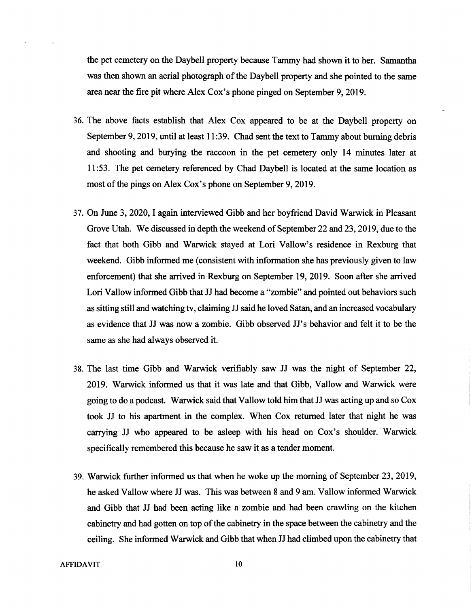the pet cemetery on the Daybell property because Tammy had shown it to her. Samantha was then shown an aerial photograph of the Daybell property and she pointed to the same area near the fire pit where Alex Cox's phone pinged on September 9, 2019.

- 36. The above facts establish that Alex Cox appeared to be at the Daybell property on September 9, 2019, until at least 11:39. Chad sent the text to Tammy about burning debris and shooting and burying the raccoon in the pet cemetery only 14 minutes later at 11:53. The pet cemetery referenced by Chad Daybell is located at the same location as most of the pings on Alex Cox's phone on September 9, 2019.
- 37. On June 3, 2020, I again interviewed Gibb and her boyfriend David Warwick in Pleasant Grove Utah. We discussed in depth the weekend of September 22 and 23, 2019, due to the fact that both Gibb and Warwick stayed at Lori Vallow's residence in Rexburg that weekend. Gibb informed me (consistent with information she has previously given to law enforcement) that she arrived in Rexburg on September 19, 2019. Soon after she arrived Lori Vallow informed Gibb that JJ had become a "zombie" and pointed out behaviors such as sitting still and watching tv, claiming JJ said he loved Satan, and an increased vocabulary as evidence that JJ was now a zombie. Gibb observed JJ's behavior and felt it to be the same as she had always observed it.
- 38. The last time Gibb and Warwick verifiably saw JJ was the night of September 22, 2019. Warwick informed us that it was late and that Gibb, Vallow and Warwick were going to do podcast. Warwick said that Vallow told him that JJ was acting up and so Cox took JJ to his apartment in the complex. When Cox returned later that night he was carrying JJ who appeared to be asleep with his head on Cox's shoulder. Warwick specifically remembered this because he saw it as a tender moment.
- 39. Warwick further informed us that when he woke up the morning of September 23, 2019, he asked Vallow where JJ was. This was between 8 and 9 am. Vallow informed Warwick and Gibb that JJ had been acting like a zombie and had been crawling on the kitchen cabinetry and had gotten on top of the cabinetry in the space between the cabinetry and the ceiling. She informed Warwick and Gibb that when JJ had climbed upon the cabinetry that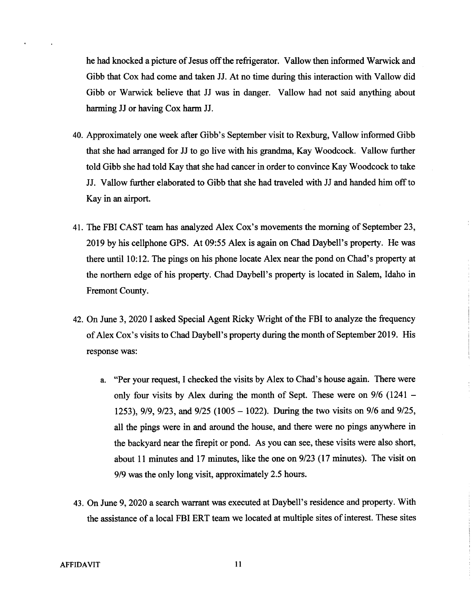he had knocked a picture of Jesus off the refrigerator. Vallow then informed Warwick and Gibb that Cox had come and taken JJ. At no time during this interaction with Vallow did Gibb or Warwick believe that JJ was in danger. Vallow had not said anything about harming JJ or having Cox harm JJ.

- 40. Approximately one week after Gibb's September visit to Rexburg, Vallow informed Gibb that she had arranged for JJ to go live with his grandma, Kay Woodcock. Vallow further told Gibb she had told Kay that she had cancer in order to convince Kay Woodcock to take JJ. Vallow further elaborated to Gibb that she had traveled with JJ and handed him off to Kay in an airport.
- 41. The FBI CAST team has analyzed Alex Cox's movements the morning of September 23, 2019 by his cellphone GPS. At 09:55 Alex is again on Chad Daybell's property. He was there until 10:12. The pings on his phone locate Alex near the pond on Chad's property at the northern edge of his property. Chad Daybell's property is located in Salem, Idaho in Fremont County.
- 42. On June 3, 2020 I asked Special Agent Ricky Wright of the FBI to analyze the frequency of Alex Cox's visits to Chad Daybell's property during the month of September 2019. His response was:
	- a. "Per your request, I checked the visits by Alex to Chad's house again. There were only four visits by Alex during the month of Sept. These were on 9/6 (1241 – 1253), 9/9, 9/23, and 9/25 (1005 – 1022). During the two visits on 9/6 and 9/25, all the pings were in and around the house, and there were no pings anywhere in the backyard near the firepit or pond. As you can see, these visits were also short, about <sup>11</sup> minutes and 17 minutes, like the one on 9/23 (l7 minutes). The visit on 9/9 was the only long visit, approximately 2.5 hours.
- 43. On June 9, 2020 a search warrant was executed at Daybell's residence and property. With the assistance of a local FBI ERT team we located at multiple sites of interest. These sites

11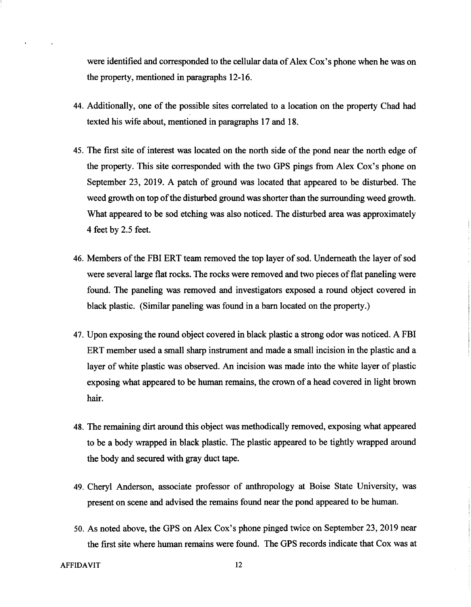were identified and corresponded to the cellular data of Alex Cox's phone when he was on the property, mentioned in paragraphs 12-16.

- 44. Additionally, one of the possible sites correlated to a location on the property Chad had texted his wife about, mentioned in paragraphs 17 and 18.
- 45. The first site of interest was located on the north side of the pond near the north edge of the property. This site corresponded with the two GPS pings from Alex Cox's phone on September 23, 2019. A patch of ground was located that appeared to be disturbed. The weed growth on top of the disturbed ground was shorter than the surrounding weed growth. What appeared to be sod etching was also noticed. The disturbed area was approximately 4 feet by 2.5 feet.
- 46. Members of the FBI ERT team removed the top layer of sod. Underneath the layer of sod were several large flat rocks. The rocks were removed and two pieces of flat paneling were found. The paneling was removed and investigators exposed a round object covered in black plastic. (Similar paneling was found in a barn located on the property.)
- 47. Upon exposing the round object covered in black plastic a strong odor was noticed. A FBI ERT member used a small sharp instrument and made a small incision in the plastic and a layer of white plastic was observed. An incision was made into the white layer of plastic exposing what appeared to be human remains, the crown of a head covered in light brown hair.
- 48. The remaining dirt around this object was methodically removed, exposing what appeared to be a body wrapped in black plastic. The plastic appeared to be tightly wrapped around the body and seemed with gray duct tape.
- 49. Cheryl Anderson, associate professor of anthropology at Boise State University, was present 0n scene and advised the remains found near the pond appeared to be human.
- 50. As noted above, the GPS on Alex Cox's phone pinged twice on September 23, 2019 near the first site where human remains were found. The GPS records indicate that Cox was at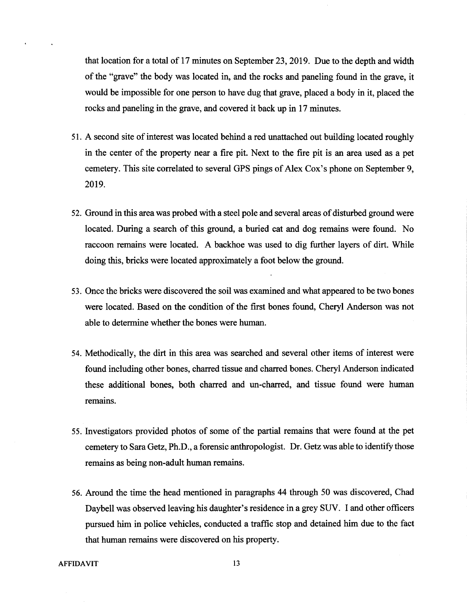that location for a total of 17 minutes on September 23, 2019. Due to the depth and width of the "grave" the body was located in, and the rocks and paneling found in the grave, it would be impossible for one person to have dug that grave, placed a body in it, placed the rocks and paneling in the grave, and covered it back up in 17 minutes.

- 51. A second site of interest was located behind a red unattached out building located roughly in the center of the property near a fire pit. Next to the fire pit is an area used as a pet cemetery. This site correlated to several GPS pings of Alex Cox's phone on September 9, 2019.
- 52. Ground in this area was probed with a steel pole and several areas of disturbed ground were located. During a search of this ground, a buried cat and dog remains were found. No raccoon remains were located. A backhoe was used to dig further layers of dirt. While doing this, bricks were located approximately a foot below the ground.
- 53. Once the bricks were discovered the soil was examined and what appeared to be two bones were located. Based on the condition of the first bones found, Cheryl Anderson was not able to determine whether the bones were human.
- 54. Methodically, the dirt in this area was searched and several other items of interest were found including other bones, charred tissue and charred bones. Cheryl Anderson indicated these additional bones, both charred and un-charred, and tissue found were human remains.
- 55. Investigators provided photos of some of the partial remains that were found at the pet cemetery to Sara Getz, Ph.D., a forensic anthropologist. Dr. Getz was able to identify those remains as being non-adult human remains.
- 56. Around the time the head mentioned in paragraphs 44 through 50 was discovered, Chad Daybell was observed leaving his daughter's residence in a grey SUV. I and other officers pursued him in police vehicles, conducted a traffic stop and detained him due to the fact that human remains were discovered on his property.

### AFFIDAVIT 13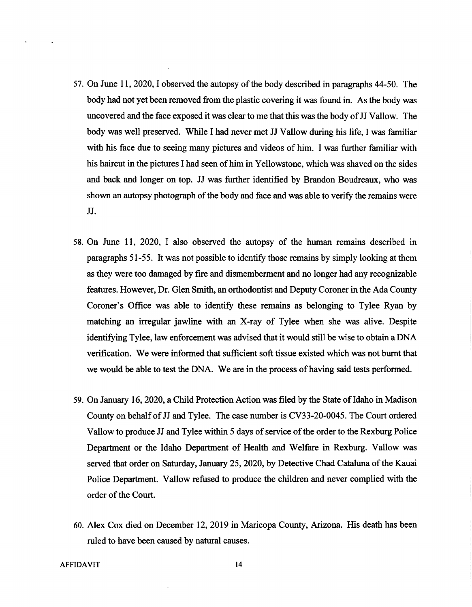- 57. On June 11, 2020, I observed the autopsy of the body described in paragraphs 44-50. The body had not yet been removed from the plastic covering it was found in. As the body was uncovered and the face exposed it was clear to me that this was the body of JJ Vallow. The body was well preserved. While I had never met JJ Vallow during his life, I was familiar with his face due to seeing many pictures and videos of him. I was further familiar with his haircut in the pictures I had seen of him in Yellowstone, which was shaved on the sides and back and longer on top. JJ was further identified by Brandon Boudreaux, who was shown an autopsy photograph of the body and face and was able to verify the remains were JJ.
- 58. On June 11, 2020, I also observed the autopsy of the human remains described in paragraphs 51-55. It was not possible to identify those remains by simply looking at them as they were too damaged by fire and dismemberment and no longer had any recognizable features. However, Dr. Glen Smith, an orthodontist and Deputy Coroner in the Ada County Coroner's Office was able to identify these remains as belonging to Tylee Ryan by matching an irregular jawline with an X-ray of Tylee when she was alive. Despite identifying Tylee, law enforcement was advised that it would still be wise to obtain a DNA verification. We were informed that sufficient soft tissue existed which was not burnt that we would be able to test the DNA. We are in the process of having said tests performed.
- 59. On January 16, 2020, a Child Protection Action was filed by the State of Idaho in Madison County on behalf of JJ and Tylee. The case number is CV33-20-0045. The Court ordered Vallow to produce JJ and Tylee within 5 days of service of the order to the Rexburg Police Depanment or the Idaho Department of Health and Welfare in Rexburg. Vallow was served that order on Saturday, January 25, 2020, by Detective Chad Cataluna of the Kauai Police Department. Vallow refused to produce the children and never complied with the order of the Court.
- 60. Alex Cox died on December 12, 2019 in Maricopa County, Arizona. His death has been ruled to have been caused by natural causes.

#### AFFIDAVIT 14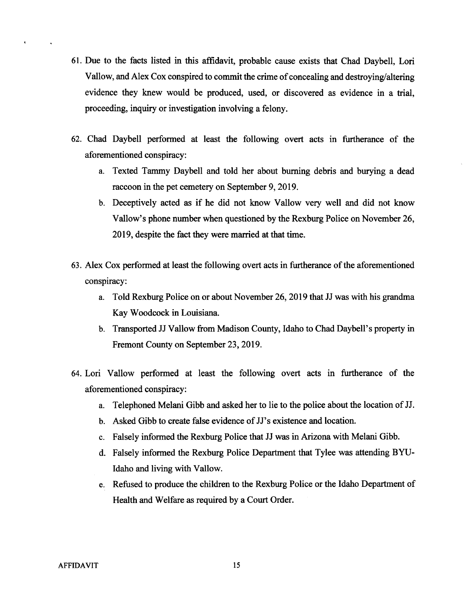- 61. Due to the facts listed in this affidavit, probable cause exists that Chad Daybell, Lon' Vallow, and Alex Cox conspired to commit the crime ofconcealing and destroying/altering evidence they knew would be produced, used, or discovered as evidence in a trial, proceeding, inquiry or investigation involving a felony.
- 62. Chad Daybell performed at least the following overt acts in funherance of the aforementioned conspiracy:
	- a. Texted Tammy Daybell and told her about burning debris and burying a dead raccoon in the pet cemetery on September 9, 2019.
	- b. Deceptively acted as if he did not know Vallow very well and did not know Vallow's phone number when questioned by the Rexburg Police on November 26, 2019, despite the fact they were married at that time.
- 63. Alex Cox performed at least the following overt acts in furtherance of the aforementioned conspiracy:
	- a. Told Rexburg Police on or about November 26, 2019 that JJ was with his grandma Kay Woodcock in Louisiana.
	- b. Transported JJ Vallow from Madison County, Idaho to Chad Daybell's property in Fremont County on September 23, 2019.
- 64. Lori Vallow performed at least the following overt acts in fimherance of the aforementioned conspiracy:
	- Telephoned Melanj Gibb and asked her to lie to the police about the location of JJ.
	- b. Asked Gibb to create false evidence of JJ's existence and location.
	- c. Falsely informed the Rexburg Police that JJ was in Arizona with Melani Gibb.
	- d. Falsely informed the Rexburg Police Department that Tylee was attending BYU-Idaho and living with Vallow.
	- e.} Refused to produce the children to the Rexburg Police or the Idaho Department of Health and Welfare as required by a Court Order.